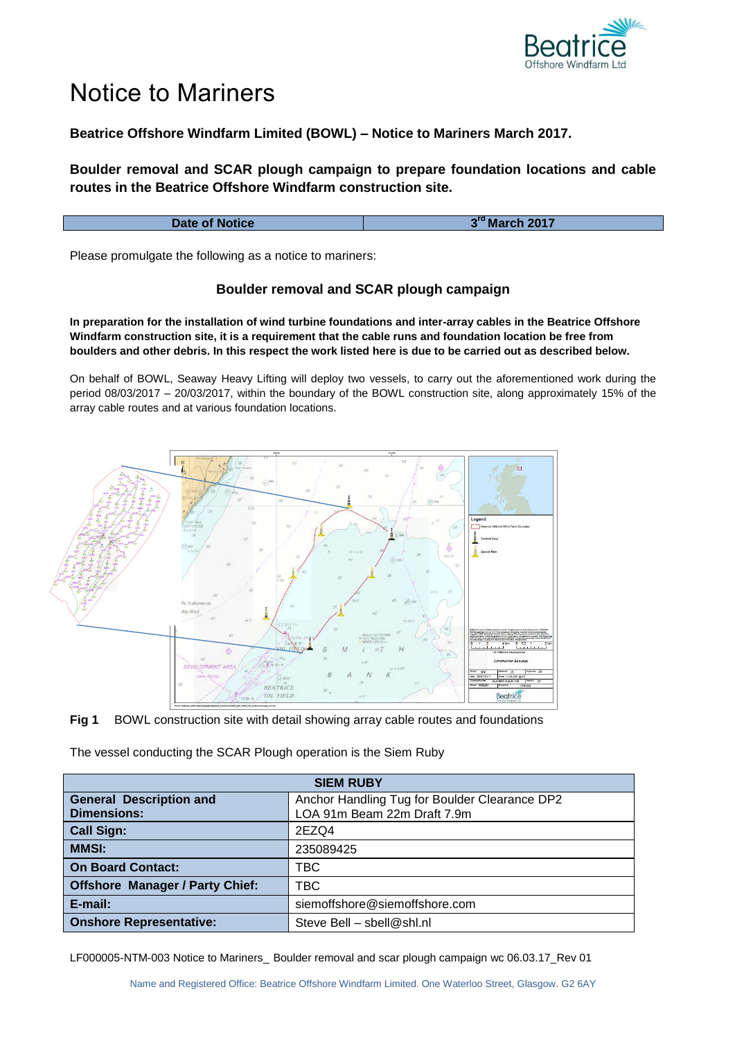

## Notice to Mariners

## **Beatrice Offshore Windfarm Limited (BOWL) – Notice to Mariners March 2017.**

**Boulder removal and SCAR plough campaign to prepare foundation locations and cable routes in the Beatrice Offshore Windfarm construction site.**

| Date of Notice | 3rd March 2017 |
|----------------|----------------|
|                |                |

Please promulgate the following as a notice to mariners:

## **Boulder removal and SCAR plough campaign**

**In preparation for the installation of wind turbine foundations and inter-array cables in the Beatrice Offshore Windfarm construction site, it is a requirement that the cable runs and foundation location be free from boulders and other debris. In this respect the work listed here is due to be carried out as described below.**

On behalf of BOWL, Seaway Heavy Lifting will deploy two vessels, to carry out the aforementioned work during the period 08/03/2017 – 20/03/2017, within the boundary of the BOWL construction site, along approximately 15% of the array cable routes and at various foundation locations.



**Fig 1** BOWL construction site with detail showing array cable routes and foundations

The vessel conducting the SCAR Plough operation is the Siem Ruby

| <b>SIEM RUBY</b>                       |                                               |
|----------------------------------------|-----------------------------------------------|
| <b>General Description and</b>         | Anchor Handling Tug for Boulder Clearance DP2 |
| <b>Dimensions:</b>                     | LOA 91m Beam 22m Draft 7.9m                   |
| <b>Call Sign:</b>                      | 2EZQ4                                         |
| <b>MMSI:</b>                           | 235089425                                     |
| <b>On Board Contact:</b>               | TBC                                           |
| <b>Offshore Manager / Party Chief:</b> | TBC                                           |
| E-mail:                                | siemoffshore@siemoffshore.com                 |
| <b>Onshore Representative:</b>         | Steve Bell - sbell@shl.nl                     |

LF000005-NTM-003 Notice to Mariners\_ Boulder removal and scar plough campaign wc 06.03.17\_Rev 01

Name and Registered Office: Beatrice Offshore Windfarm Limited. One Waterloo Street, Glasgow. G2 6AY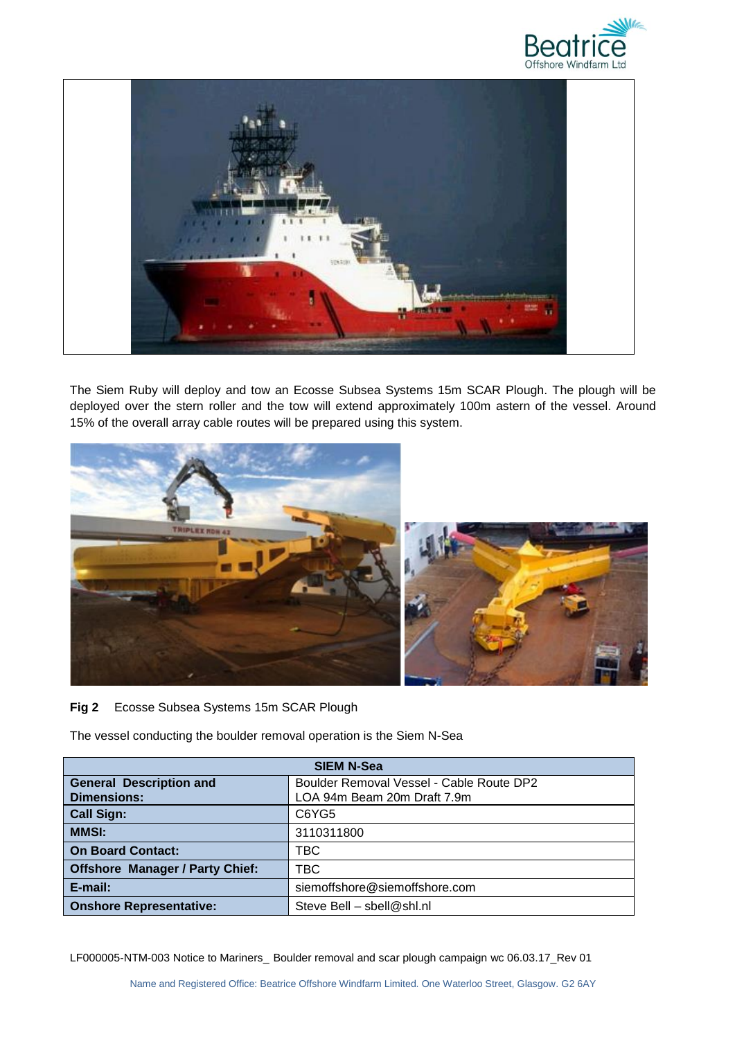



The Siem Ruby will deploy and tow an Ecosse Subsea Systems 15m SCAR Plough. The plough will be deployed over the stern roller and the tow will extend approximately 100m astern of the vessel. Around 15% of the overall array cable routes will be prepared using this system.



## **Fig 2** Ecosse Subsea Systems 15m SCAR Plough

The vessel conducting the boulder removal operation is the Siem N-Sea

| <b>SIEM N-Sea</b>                      |                                          |
|----------------------------------------|------------------------------------------|
| <b>General Description and</b>         | Boulder Removal Vessel - Cable Route DP2 |
| <b>Dimensions:</b>                     | LOA 94m Beam 20m Draft 7.9m              |
| <b>Call Sign:</b>                      | C6YG5                                    |
| <b>MMSI:</b>                           | 3110311800                               |
| <b>On Board Contact:</b>               | TBC                                      |
| <b>Offshore Manager / Party Chief:</b> | TBC                                      |
| E-mail:                                | siemoffshore@siemoffshore.com            |
| <b>Onshore Representative:</b>         | Steve Bell - sbell@shl.nl                |

LF000005-NTM-003 Notice to Mariners\_ Boulder removal and scar plough campaign wc 06.03.17\_Rev 01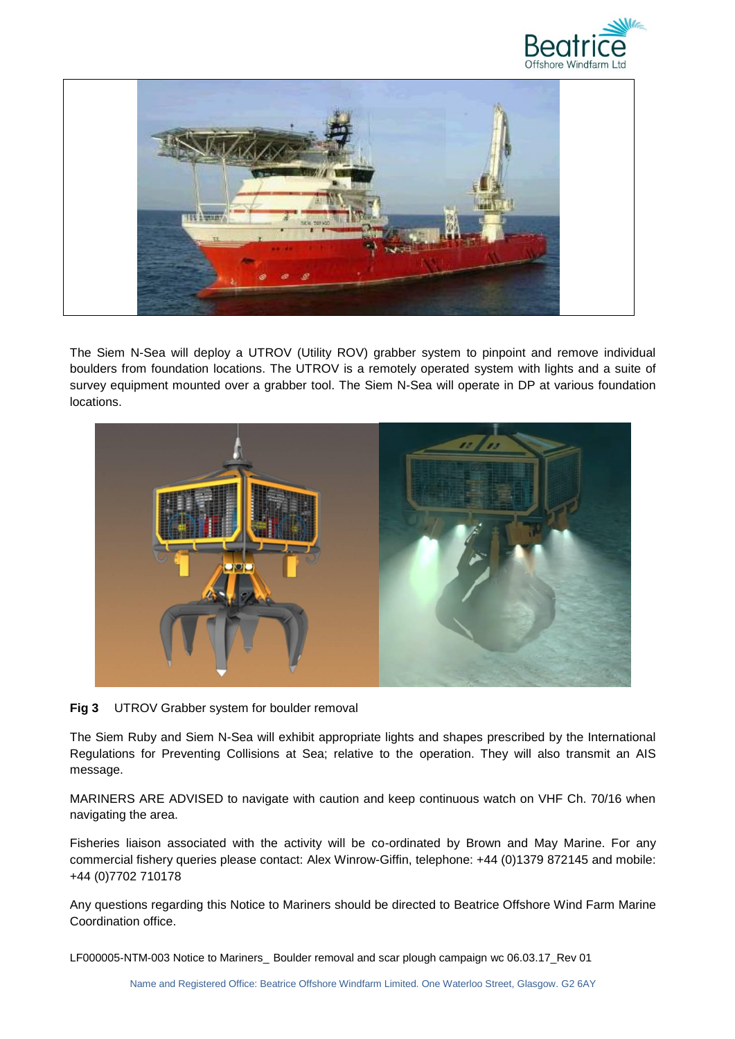



The Siem N-Sea will deploy a UTROV (Utility ROV) grabber system to pinpoint and remove individual boulders from foundation locations. The UTROV is a remotely operated system with lights and a suite of survey equipment mounted over a grabber tool. The Siem N-Sea will operate in DP at various foundation locations.



**Fig 3** UTROV Grabber system for boulder removal

The Siem Ruby and Siem N-Sea will exhibit appropriate lights and shapes prescribed by the International Regulations for Preventing Collisions at Sea; relative to the operation. They will also transmit an AIS message.

MARINERS ARE ADVISED to navigate with caution and keep continuous watch on VHF Ch. 70/16 when navigating the area.

Fisheries liaison associated with the activity will be co-ordinated by Brown and May Marine. For any commercial fishery queries please contact: Alex Winrow-Giffin, telephone: +44 (0)1379 872145 and mobile: +44 (0)7702 710178

Any questions regarding this Notice to Mariners should be directed to Beatrice Offshore Wind Farm Marine Coordination office.

LF000005-NTM-003 Notice to Mariners\_ Boulder removal and scar plough campaign wc 06.03.17\_Rev 01